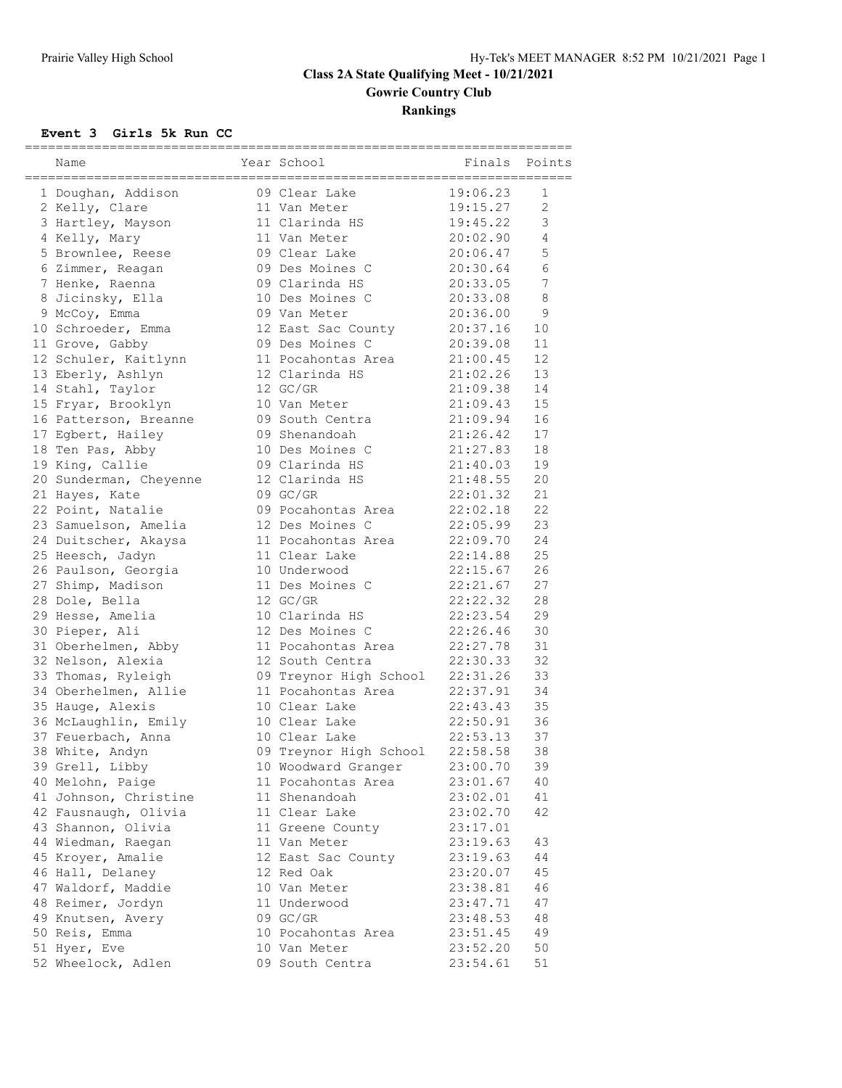# **Class 2A State Qualifying Meet - 10/21/2021 Gowrie Country Club Rankings**

#### **Event 3 Girls 5k Run CC**

|                        |                                 | ===================== |                 |
|------------------------|---------------------------------|-----------------------|-----------------|
| Name                   | Year School                     | Finals                | Points          |
| 1 Doughan, Addison     | 09 Clear Lake                   | 19:06.23              | 1               |
| 2 Kelly, Clare         | 11 Van Meter                    | 19:15.27              | $\overline{2}$  |
| 3 Hartley, Mayson      | 11 Clarinda HS                  | 19:45.22              | 3               |
| 4 Kelly, Mary          | 11 Van Meter                    | 20:02.90              | 4               |
| 5 Brownlee, Reese      | 09 Clear Lake                   | 20:06.47              | 5               |
| 6 Zimmer, Reagan       | 09 Des Moines C                 | 20:30.64              | 6               |
| 7 Henke, Raenna        | 09 Clarinda HS                  | 20:33.05              | $7\phantom{.0}$ |
| 8 Jicinsky, Ella       | 10 Des Moines C                 | 20:33.08              | 8               |
| 9 McCoy, Emma          | 09 Van Meter                    | 20:36.00              | 9               |
| 10 Schroeder, Emma     | 12 East Sac County              | 20:37.16              | 10              |
| 11 Grove, Gabby        | 09 Des Moines C                 | 20:39.08              | 11              |
| 12 Schuler, Kaitlynn   | 11 Pocahontas Area              | 21:00.45              | 12              |
| 13 Eberly, Ashlyn      | 12 Clarinda HS                  | 21:02.26              | 13              |
| 14 Stahl, Taylor       | 12 GC/GR                        | 21:09.38              | 14              |
| 15 Fryar, Brooklyn     | 10 Van Meter                    | 21:09.43              | 15              |
| 16 Patterson, Breanne  | 09 South Centra                 | 21:09.94              | 16              |
| 17 Egbert, Hailey      | 09 Shenandoah                   | 21:26.42              | 17              |
| 18 Ten Pas, Abby       | 10 Des Moines C                 | 21:27.83              | 18              |
| 19 King, Callie        | 09 Clarinda HS                  | 21:40.03              | 19              |
| 20 Sunderman, Cheyenne | 12 Clarinda HS                  | 21:48.55              | 20              |
| 21 Hayes, Kate         | 09 GC/GR                        | 22:01.32              | 21              |
| 22 Point, Natalie      | 09 Pocahontas Area              | 22:02.18              | 22              |
| 23 Samuelson, Amelia   | 12 Des Moines C                 | 22:05.99              | 23              |
| 24 Duitscher, Akaysa   | 11 Pocahontas Area              | 22:09.70              | 24              |
| 25 Heesch, Jadyn       | 11 Clear Lake                   | 22:14.88              | 25              |
| 26 Paulson, Georgia    | 10 Underwood                    | 22:15.67              | 26              |
| 27 Shimp, Madison      | 11 Des Moines C                 | 22:21.67              | 27              |
| 28 Dole, Bella         | 12 GC/GR                        | 22:22.32              | 28              |
| 29 Hesse, Amelia       | 10 Clarinda HS                  | 22:23.54              | 29              |
| 30 Pieper, Ali         | 12 Des Moines C                 | 22:26.46              | 30              |
| 31 Oberhelmen, Abby    | 11 Pocahontas Area              | 22:27.78              | 31              |
| 32 Nelson, Alexia      | 12 South Centra                 | 22:30.33              | 32              |
| 33 Thomas, Ryleigh     | 09 Treynor High School 22:31.26 |                       | 33              |
| 34 Oberhelmen, Allie   | 11 Pocahontas Area              | 22:37.91              | 34              |
| 35 Hauge, Alexis       | 10 Clear Lake                   | 22:43.43              | 35              |
| 36 McLaughlin, Emily   | 10 Clear Lake                   | 22:50.91              | 36              |
| 37 Feuerbach, Anna     | 10 Clear Lake                   | 22:53.13              | 37              |
| 38 White, Andyn        | 09 Treynor High School          | 22:58.58              | 38              |
| 39 Grell, Libby        | 10 Woodward Granger             | 23:00.70              | 39              |
| 40 Melohn, Paige       | 11 Pocahontas Area              | 23:01.67              | 40              |
| 41 Johnson, Christine  | 11 Shenandoah                   | 23:02.01              | 41              |
| 42 Fausnaugh, Olivia   | 11 Clear Lake                   | 23:02.70              | 42              |
| 43 Shannon, Olivia     | 11 Greene County                | 23:17.01              |                 |
| 44 Wiedman, Raegan     | 11 Van Meter                    | 23:19.63              | 43              |
| 45 Kroyer, Amalie      | 12 East Sac County              | 23:19.63              | 44              |
| 46 Hall, Delaney       | 12 Red Oak                      | 23:20.07              | 45              |
| 47 Waldorf, Maddie     | 10 Van Meter                    | 23:38.81              | 46              |
| 48 Reimer, Jordyn      | 11 Underwood                    | 23:47.71              | 47              |
| 49 Knutsen, Avery      | 09 GC/GR                        | 23:48.53              | 48              |
| 50 Reis, Emma          | 10 Pocahontas Area              | 23:51.45              | 49              |
| 51 Hyer, Eve           | 10 Van Meter                    | 23:52.20              | 50              |
| 52 Wheelock, Adlen     | 09 South Centra                 | 23:54.61              | 51              |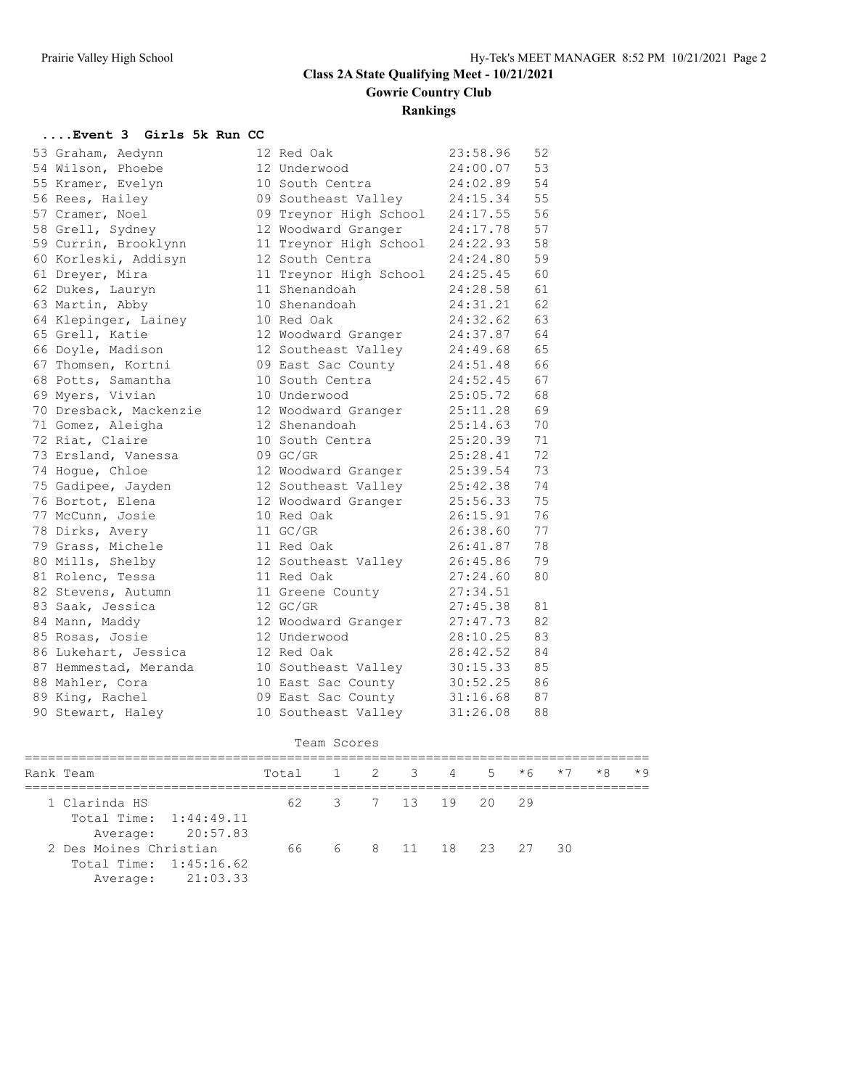### **Class 2A State Qualifying Meet - 10/21/2021 Gowrie Country Club Rankings**

# **....Event 3 Girls 5k Run CC**

| 53 Graham, Aedynn      | 12 Red Oak             | 23:58.96 | 52 |
|------------------------|------------------------|----------|----|
| 54 Wilson, Phoebe      | 12 Underwood           | 24:00.07 | 53 |
| 55 Kramer, Evelyn      | 10 South Centra        | 24:02.89 | 54 |
| 56 Rees, Hailey        | 09 Southeast Valley    | 24:15.34 | 55 |
| 57 Cramer, Noel        | 09 Treynor High School | 24:17.55 | 56 |
| 58 Grell, Sydney       | 12 Woodward Granger    | 24:17.78 | 57 |
| 59 Currin, Brooklynn   | 11 Treynor High School | 24:22.93 | 58 |
| 60 Korleski, Addisyn   | 12 South Centra        | 24:24.80 | 59 |
| 61 Dreyer, Mira        | 11 Treynor High School | 24:25.45 | 60 |
| 62 Dukes, Lauryn       | 11 Shenandoah          | 24:28.58 | 61 |
| 63 Martin, Abby        | 10 Shenandoah          | 24:31.21 | 62 |
| 64 Klepinger, Lainey   | 10 Red Oak             | 24:32.62 | 63 |
| 65 Grell, Katie        | 12 Woodward Granger    | 24:37.87 | 64 |
| 66 Doyle, Madison      | 12 Southeast Valley    | 24:49.68 | 65 |
| 67 Thomsen, Kortni     | 09 East Sac County     | 24:51.48 | 66 |
| 68 Potts, Samantha     | 10 South Centra        | 24:52.45 | 67 |
| 69 Myers, Vivian       | 10 Underwood           | 25:05.72 | 68 |
| 70 Dresback, Mackenzie | 12 Woodward Granger    | 25:11.28 | 69 |
| 71 Gomez, Aleigha      | 12 Shenandoah          | 25:14.63 | 70 |
| 72 Riat, Claire        | 10 South Centra        | 25:20.39 | 71 |
| 73 Ersland, Vanessa    | 09 GC/GR               | 25:28.41 | 72 |
| 74 Hogue, Chloe        | 12 Woodward Granger    | 25:39.54 | 73 |
| 75 Gadipee, Jayden     | 12 Southeast Valley    | 25:42.38 | 74 |
| 76 Bortot, Elena       | 12 Woodward Granger    | 25:56.33 | 75 |
| 77 McCunn, Josie       | 10 Red Oak             | 26:15.91 | 76 |
| 78 Dirks, Avery        | 11 GC/GR               | 26:38.60 | 77 |
| 79 Grass, Michele      | 11 Red Oak             | 26:41.87 | 78 |
| 80 Mills, Shelby       | 12 Southeast Valley    | 26:45.86 | 79 |
| 81 Rolenc, Tessa       | 11 Red Oak             | 27:24.60 | 80 |
| 82 Stevens, Autumn     | 11 Greene County       | 27:34.51 |    |
| 83 Saak, Jessica       | 12 GC/GR               | 27:45.38 | 81 |
| 84 Mann, Maddy         | 12 Woodward Granger    | 27:47.73 | 82 |
| 85 Rosas, Josie        | 12 Underwood           | 28:10.25 | 83 |
| 86 Lukehart, Jessica   | 12 Red Oak             | 28:42.52 | 84 |
| 87 Hemmestad, Meranda  | 10 Southeast Valley    | 30:15.33 | 85 |
| 88 Mahler, Cora        | 10 East Sac County     | 30:52.25 | 86 |
| 89 King, Rachel        | 09 East Sac County     | 31:16.68 | 87 |
| 90 Stewart, Haley      | 10 Southeast Valley    | 31:26.08 | 88 |

```
 Team Scores
```

|  | Rank Team                                        |                   | Total 1 2 3 4 5 $*6$ $*7$ |  |  |  |                    |  |  |  | $\star$ 8 $\star$ 9 |  |
|--|--------------------------------------------------|-------------------|---------------------------|--|--|--|--------------------|--|--|--|---------------------|--|
|  | 1 Clarinda HS<br>Total Time: 1:44:49.11          | Average: 20:57.83 |                           |  |  |  | 62 3 7 13 19 20 29 |  |  |  |                     |  |
|  | 2 Des Moines Christian<br>Total Time: 1:45:16.62 | Average: 21:03.33 | 66 6 8 11 18 23 27 30     |  |  |  |                    |  |  |  |                     |  |